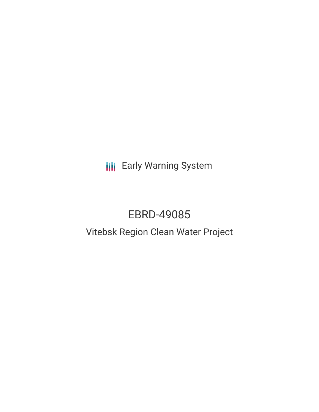**III** Early Warning System

# EBRD-49085

# Vitebsk Region Clean Water Project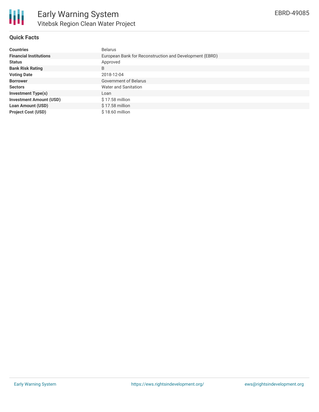

#### **Quick Facts**

| <b>Countries</b>               | <b>Belarus</b>                                          |
|--------------------------------|---------------------------------------------------------|
| <b>Financial Institutions</b>  | European Bank for Reconstruction and Development (EBRD) |
| <b>Status</b>                  | Approved                                                |
| <b>Bank Risk Rating</b>        | B                                                       |
| <b>Voting Date</b>             | 2018-12-04                                              |
| <b>Borrower</b>                | Government of Belarus                                   |
| <b>Sectors</b>                 | Water and Sanitation                                    |
| <b>Investment Type(s)</b>      | Loan                                                    |
| <b>Investment Amount (USD)</b> | $$17.58$ million                                        |
| <b>Loan Amount (USD)</b>       | $$17.58$ million                                        |
| <b>Project Cost (USD)</b>      | $$18.60$ million                                        |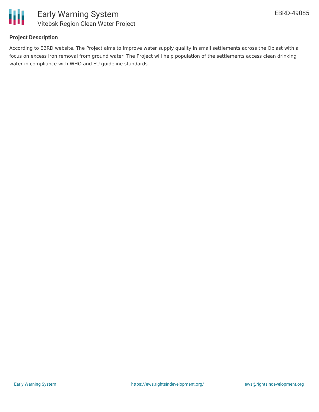

#### **Project Description**

According to EBRD website, The Project aims to improve water supply quality in small settlements across the Oblast with a focus on excess iron removal from ground water. The Project will help population of the settlements access clean drinking water in compliance with WHO and EU guideline standards.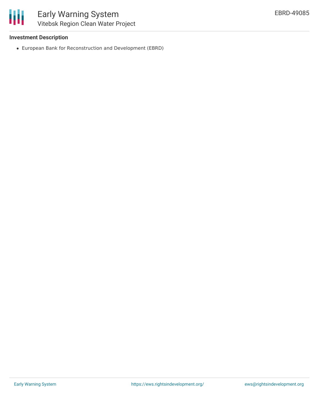#### **Investment Description**

European Bank for Reconstruction and Development (EBRD)